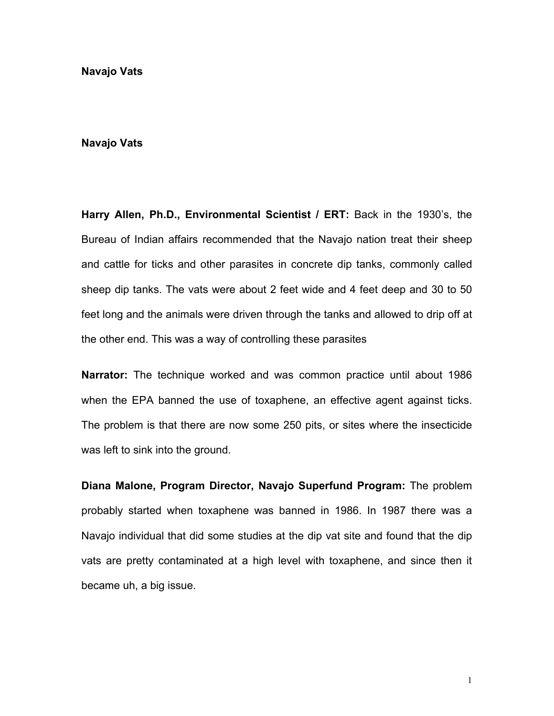**Navajo Vats** 

## **Navajo Vats**

**Harry Allen, Ph.D., Environmental Scientist / ERT:** Back in the 1930ís, the Bureau of Indian affairs recommended that the Navajo nation treat their sheep and cattle for ticks and other parasites in concrete dip tanks, commonly called sheep dip tanks. The vats were about 2 feet wide and 4 feet deep and 30 to 50 feet long and the animals were driven through the tanks and allowed to drip off at the other end. This was a way of controlling these parasites

**Narrator:** The technique worked and was common practice until about 1986 when the EPA banned the use of toxaphene, an effective agent against ticks. The problem is that there are now some 250 pits, or sites where the insecticide was left to sink into the ground.

**Diana Malone, Program Director, Navajo Superfund Program:** The problem probably started when toxaphene was banned in 1986. In 1987 there was a Navajo individual that did some studies at the dip vat site and found that the dip vats are pretty contaminated at a high level with toxaphene, and since then it became uh, a big issue.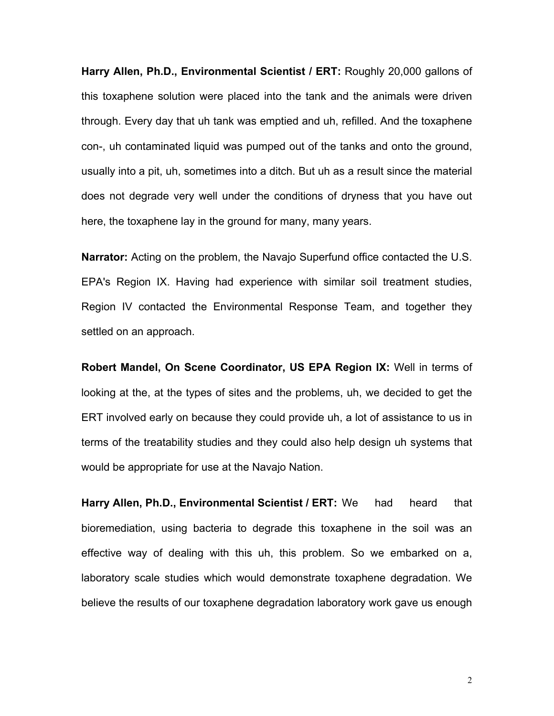**Harry Allen, Ph.D., Environmental Scientist / ERT:** Roughly 20,000 gallons of this toxaphene solution were placed into the tank and the animals were driven through. Every day that uh tank was emptied and uh, refilled. And the toxaphene con-, uh contaminated liquid was pumped out of the tanks and onto the ground, usually into a pit, uh, sometimes into a ditch. But uh as a result since the material does not degrade very well under the conditions of dryness that you have out here, the toxaphene lay in the ground for many, many years.

**Narrator:** Acting on the problem, the Navajo Superfund office contacted the U.S. EPA's Region IX. Having had experience with similar soil treatment studies, Region IV contacted the Environmental Response Team, and together they settled on an approach.

**Robert Mandel, On Scene Coordinator, US EPA Region IX:** Well in terms of looking at the, at the types of sites and the problems, uh, we decided to get the ERT involved early on because they could provide uh, a lot of assistance to us in terms of the treatability studies and they could also help design uh systems that would be appropriate for use at the Navajo Nation.

**Harry Allen, Ph.D., Environmental Scientist / ERT:** We had heard that bioremediation, using bacteria to degrade this toxaphene in the soil was an effective way of dealing with this uh, this problem. So we embarked on a, laboratory scale studies which would demonstrate toxaphene degradation. We believe the results of our toxaphene degradation laboratory work gave us enough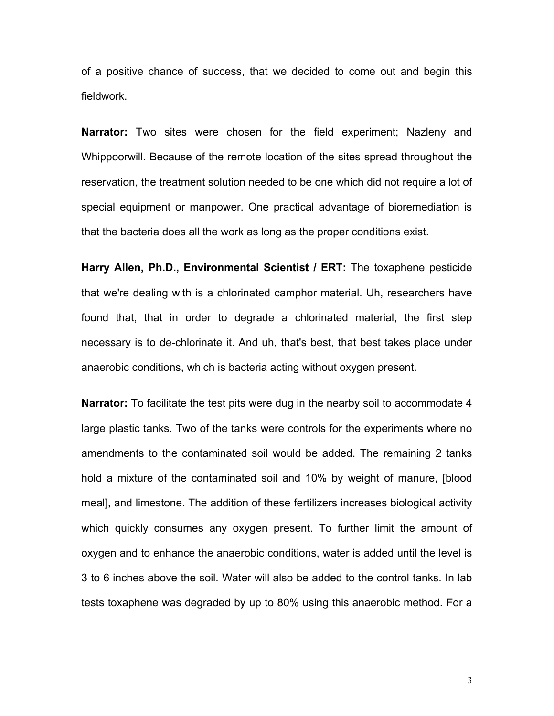of a positive chance of success, that we decided to come out and begin this fieldwork.

**Narrator:** Two sites were chosen for the field experiment; Nazleny and Whippoorwill. Because of the remote location of the sites spread throughout the reservation, the treatment solution needed to be one which did not require a lot of special equipment or manpower. One practical advantage of bioremediation is that the bacteria does all the work as long as the proper conditions exist.

**Harry Allen, Ph.D., Environmental Scientist / ERT:** The toxaphene pesticide that we're dealing with is a chlorinated camphor material. Uh, researchers have found that, that in order to degrade a chlorinated material, the first step necessary is to de-chlorinate it. And uh, that's best, that best takes place under anaerobic conditions, which is bacteria acting without oxygen present.

**Narrator:** To facilitate the test pits were dug in the nearby soil to accommodate 4 large plastic tanks. Two of the tanks were controls for the experiments where no amendments to the contaminated soil would be added. The remaining 2 tanks hold a mixture of the contaminated soil and 10% by weight of manure, [blood meal], and limestone. The addition of these fertilizers increases biological activity which quickly consumes any oxygen present. To further limit the amount of oxygen and to enhance the anaerobic conditions, water is added until the level is 3 to 6 inches above the soil. Water will also be added to the control tanks. In lab tests toxaphene was degraded by up to 80% using this anaerobic method. For a

3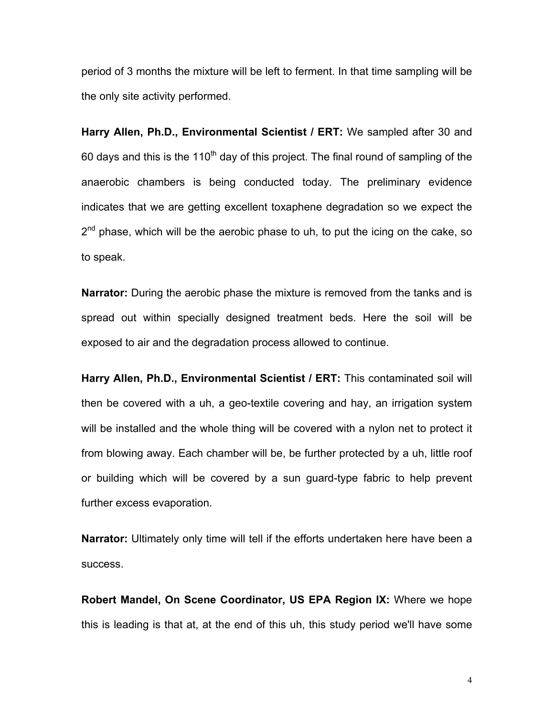period of 3 months the mixture will be left to ferment. In that time sampling will be the only site activity performed.

**Harry Allen, Ph.D., Environmental Scientist / ERT:** We sampled after 30 and 60 days and this is the 110<sup>th</sup> day of this project. The final round of sampling of the anaerobic chambers is being conducted today. The preliminary evidence indicates that we are getting excellent toxaphene degradation so we expect the  $2<sup>nd</sup>$  phase, which will be the aerobic phase to uh, to put the icing on the cake, so to speak.

**Narrator:** During the aerobic phase the mixture is removed from the tanks and is spread out within specially designed treatment beds. Here the soil will be exposed to air and the degradation process allowed to continue.

**Harry Allen, Ph.D., Environmental Scientist / ERT:** This contaminated soil will then be covered with a uh, a geo-textile covering and hay, an irrigation system will be installed and the whole thing will be covered with a nylon net to protect it from blowing away. Each chamber will be, be further protected by a uh, little roof or building which will be covered by a sun guard-type fabric to help prevent further excess evaporation.

**Narrator:** Ultimately only time will tell if the efforts undertaken here have been a success.

**Robert Mandel, On Scene Coordinator, US EPA Region IX:** Where we hope this is leading is that at, at the end of this uh, this study period we'll have some

4